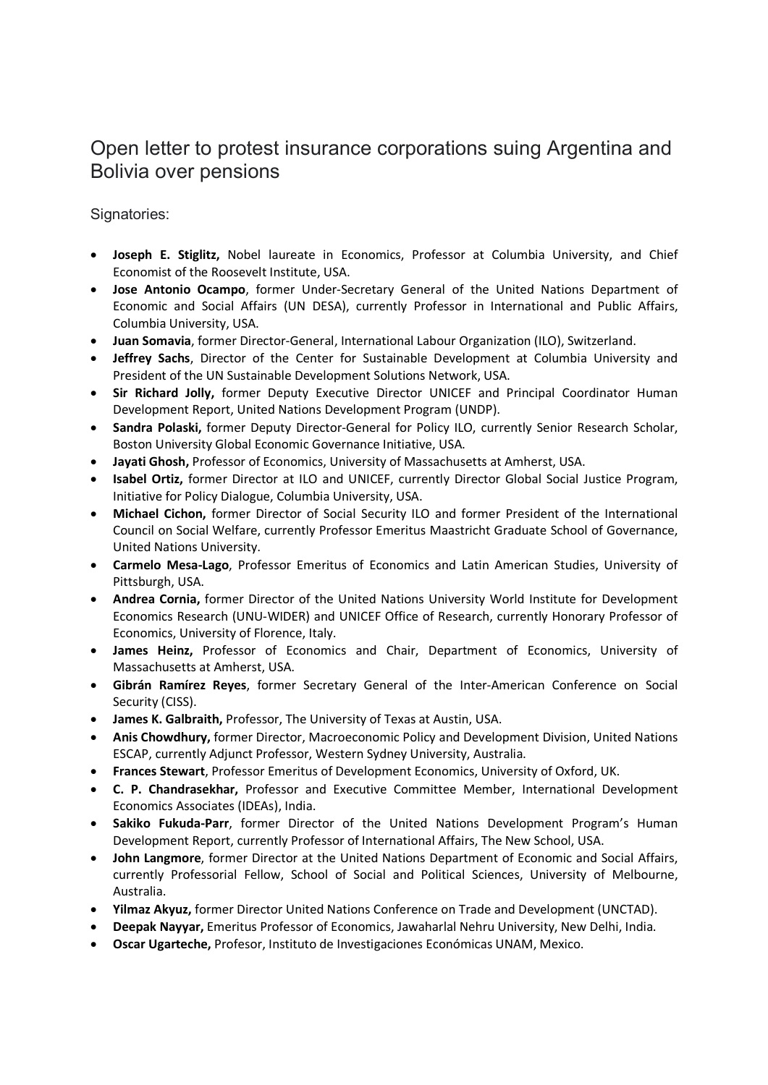## Open letter to protest insurance corporations suing Argentina and Bolivia over pensions

Signatories:

- Joseph E. Stiglitz, Nobel laureate in Economics, Professor at Columbia University, and Chief Economist of the Roosevelt Institute, USA.
- Jose Antonio Ocampo, former Under-Secretary General of the United Nations Department of Economic and Social Affairs (UN DESA), currently Professor in International and Public Affairs, Columbia University, USA.
- Juan Somavia, former Director-General, International Labour Organization (ILO), Switzerland.
- Jeffrey Sachs, Director of the Center for Sustainable Development at Columbia University and President of the UN Sustainable Development Solutions Network, USA.
- Sir Richard Jolly, former Deputy Executive Director UNICEF and Principal Coordinator Human Development Report, United Nations Development Program (UNDP).
- Sandra Polaski, former Deputy Director-General for Policy ILO, currently Senior Research Scholar, Boston University Global Economic Governance Initiative, USA.
- Jayati Ghosh, Professor of Economics, University of Massachusetts at Amherst, USA.
- Isabel Ortiz, former Director at ILO and UNICEF, currently Director Global Social Justice Program, Initiative for Policy Dialogue, Columbia University, USA.
- Michael Cichon, former Director of Social Security ILO and former President of the International Council on Social Welfare, currently Professor Emeritus Maastricht Graduate School of Governance, United Nations University.
- Carmelo Mesa-Lago, Professor Emeritus of Economics and Latin American Studies, University of Pittsburgh, USA.
- Andrea Cornia, former Director of the United Nations University World Institute for Development Economics Research (UNU-WIDER) and UNICEF Office of Research, currently Honorary Professor of Economics, University of Florence, Italy.
- James Heinz, Professor of Economics and Chair, Department of Economics, University of Massachusetts at Amherst, USA.
- Gibrán Ramírez Reyes, former Secretary General of the Inter-American Conference on Social Security (CISS).
- James K. Galbraith, Professor, The University of Texas at Austin, USA.
- Anis Chowdhury, former Director, Macroeconomic Policy and Development Division, United Nations ESCAP, currently Adjunct Professor, Western Sydney University, Australia.
- Frances Stewart, Professor Emeritus of Development Economics, University of Oxford, UK.
- C. P. Chandrasekhar, Professor and Executive Committee Member, International Development Economics Associates (IDEAs), India.
- Sakiko Fukuda-Parr, former Director of the United Nations Development Program's Human Development Report, currently Professor of International Affairs, The New School, USA.
- John Langmore, former Director at the United Nations Department of Economic and Social Affairs, currently Professorial Fellow, School of Social and Political Sciences, University of Melbourne, Australia.
- Yilmaz Akyuz, former Director United Nations Conference on Trade and Development (UNCTAD).
- Deepak Nayyar, Emeritus Professor of Economics, Jawaharlal Nehru University, New Delhi, India.
- Oscar Ugarteche, Profesor, Instituto de Investigaciones Económicas UNAM, Mexico.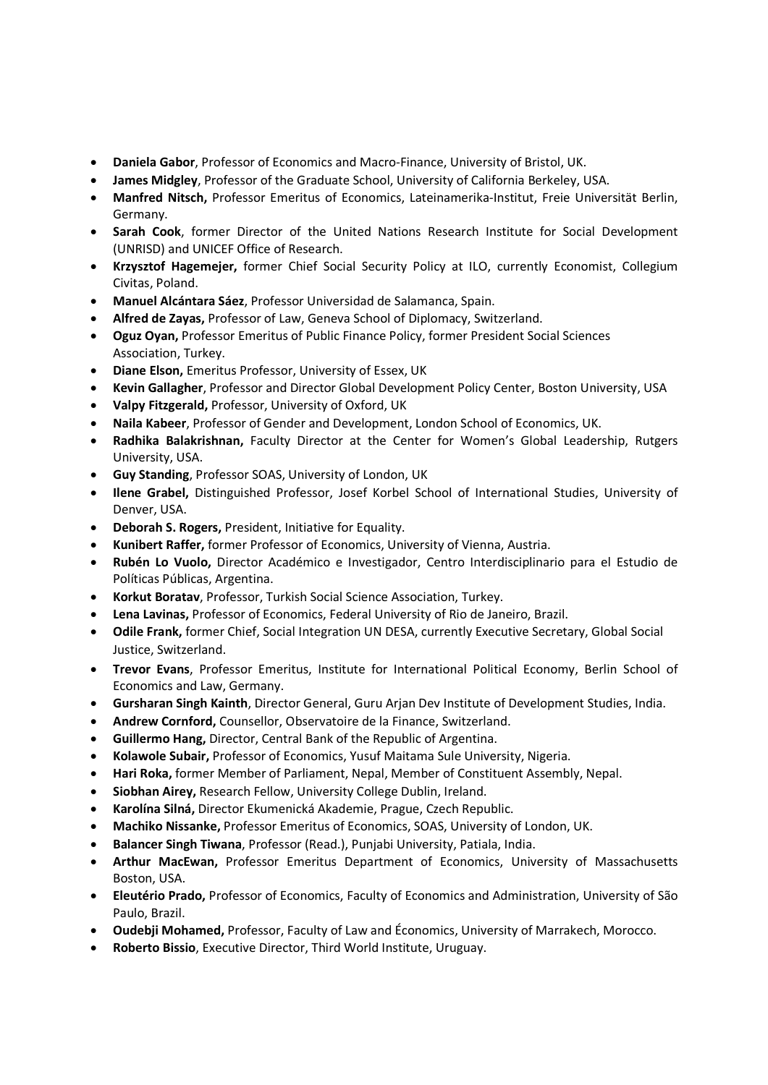- Daniela Gabor, Professor of Economics and Macro-Finance, University of Bristol, UK.
- James Midgley, Professor of the Graduate School, University of California Berkeley, USA.
- Manfred Nitsch, Professor Emeritus of Economics, Lateinamerika-Institut, Freie Universität Berlin, Germany.
- Sarah Cook, former Director of the United Nations Research Institute for Social Development (UNRISD) and UNICEF Office of Research.
- Krzysztof Hagemejer, former Chief Social Security Policy at ILO, currently Economist, Collegium Civitas, Poland.
- Manuel Alcántara Sáez, Professor Universidad de Salamanca, Spain.
- Alfred de Zayas, Professor of Law, Geneva School of Diplomacy, Switzerland.
- Oguz Oyan, Professor Emeritus of Public Finance Policy, former President Social Sciences Association, Turkey.
- Diane Elson, Emeritus Professor, University of Essex, UK
- Kevin Gallagher, Professor and Director Global Development Policy Center, Boston University, USA
- Valpy Fitzgerald, Professor, University of Oxford, UK
- Naila Kabeer, Professor of Gender and Development, London School of Economics, UK.
- Radhika Balakrishnan, Faculty Director at the Center for Women's Global Leadership, Rutgers University, USA.
- Guy Standing, Professor SOAS, University of London, UK
- Ilene Grabel, Distinguished Professor, Josef Korbel School of International Studies, University of Denver, USA.
- Deborah S. Rogers, President, Initiative for Equality.
- Kunibert Raffer, former Professor of Economics, University of Vienna, Austria.
- Rubén Lo Vuolo, Director Académico e Investigador, Centro Interdisciplinario para el Estudio de Políticas Públicas, Argentina.
- Korkut Boratav, Professor, Turkish Social Science Association, Turkey.
- Lena Lavinas, Professor of Economics, Federal University of Rio de Janeiro, Brazil.
- Odile Frank, former Chief, Social Integration UN DESA, currently Executive Secretary, Global Social Justice, Switzerland.
- Trevor Evans, Professor Emeritus, Institute for International Political Economy, Berlin School of Economics and Law, Germany.
- Gursharan Singh Kainth, Director General, Guru Arjan Dev Institute of Development Studies, India.
- Andrew Cornford, Counsellor, Observatoire de la Finance, Switzerland.
- Guillermo Hang, Director, Central Bank of the Republic of Argentina.
- Kolawole Subair, Professor of Economics, Yusuf Maitama Sule University, Nigeria.
- Hari Roka, former Member of Parliament, Nepal, Member of Constituent Assembly, Nepal.
- Siobhan Airey, Research Fellow, University College Dublin, Ireland.
- Karolína Silná, Director Ekumenická Akademie, Prague, Czech Republic.
- Machiko Nissanke, Professor Emeritus of Economics, SOAS, University of London, UK.
- Balancer Singh Tiwana, Professor (Read.), Punjabi University, Patiala, India.
- Arthur MacEwan, Professor Emeritus Department of Economics, University of Massachusetts Boston, USA.
- Eleutério Prado, Professor of Economics, Faculty of Economics and Administration, University of São Paulo, Brazil.
- Oudebji Mohamed, Professor, Faculty of Law and Économics, University of Marrakech, Morocco.
- Roberto Bissio, Executive Director, Third World Institute, Uruguay.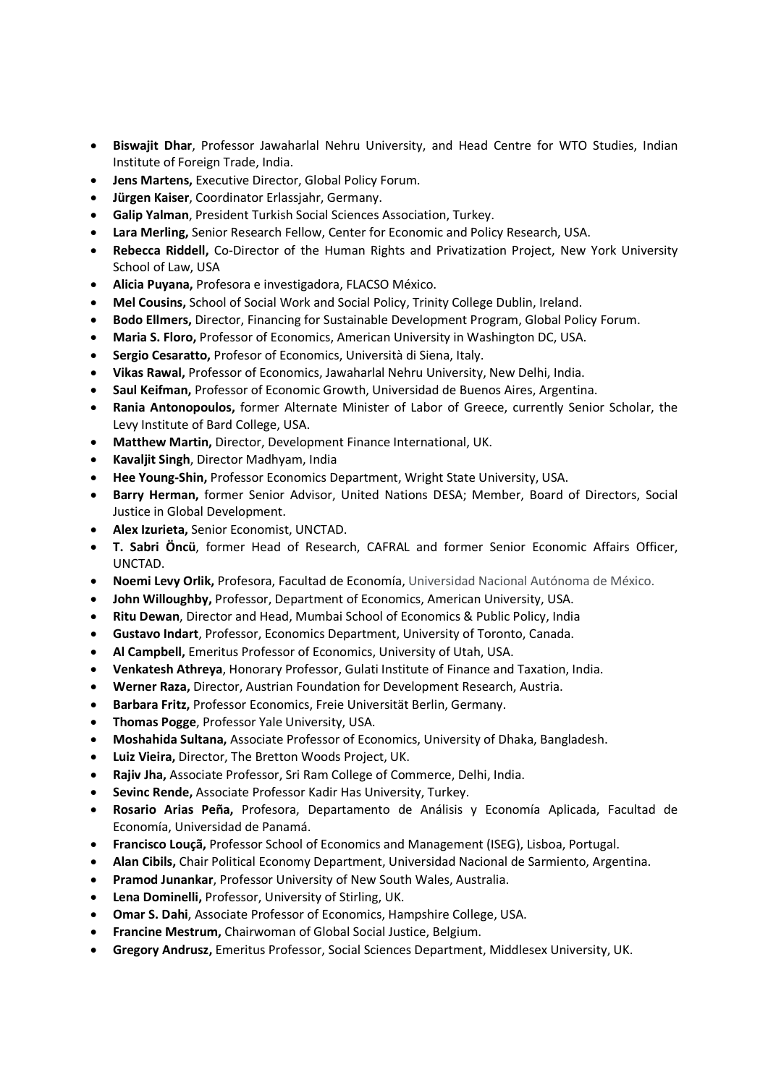- Biswajit Dhar, Professor Jawaharlal Nehru University, and Head Centre for WTO Studies, Indian Institute of Foreign Trade, India.
- Jens Martens, Executive Director, Global Policy Forum.
- Jürgen Kaiser, Coordinator Erlassjahr, Germany.
- Galip Yalman, President Turkish Social Sciences Association, Turkey.
- Lara Merling, Senior Research Fellow, Center for Economic and Policy Research, USA.
- Rebecca Riddell, Co-Director of the Human Rights and Privatization Project, New York University School of Law, USA
- Alicia Puyana, Profesora e investigadora, FLACSO México.
- Mel Cousins, School of Social Work and Social Policy, Trinity College Dublin, Ireland.
- Bodo Ellmers, Director, Financing for Sustainable Development Program, Global Policy Forum.
- Maria S. Floro, Professor of Economics, American University in Washington DC, USA.
- Sergio Cesaratto, Profesor of Economics, Università di Siena, Italy.
- Vikas Rawal, Professor of Economics, Jawaharlal Nehru University, New Delhi, India.
- Saul Keifman, Professor of Economic Growth, Universidad de Buenos Aires, Argentina.
- Rania Antonopoulos, former Alternate Minister of Labor of Greece, currently Senior Scholar, the Levy Institute of Bard College, USA.
- Matthew Martin, Director, Development Finance International, UK.
- Kavaljit Singh, Director Madhyam, India
- Hee Young-Shin, Professor Economics Department, Wright State University, USA.
- Barry Herman, former Senior Advisor, United Nations DESA; Member, Board of Directors, Social Justice in Global Development.
- Alex Izurieta, Senior Economist, UNCTAD.
- T. Sabri Öncü, former Head of Research, CAFRAL and former Senior Economic Affairs Officer, UNCTAD.
- Noemi Levy Orlik, Profesora, Facultad de Economía, Universidad Nacional Autónoma de México.
- John Willoughby, Professor, Department of Economics, American University, USA.
- Ritu Dewan, Director and Head, Mumbai School of Economics & Public Policy, India
- Gustavo Indart, Professor, Economics Department, University of Toronto, Canada.
- Al Campbell, Emeritus Professor of Economics, University of Utah, USA.
- Venkatesh Athreya, Honorary Professor, Gulati Institute of Finance and Taxation, India.
- Werner Raza, Director, Austrian Foundation for Development Research, Austria.
- Barbara Fritz, Professor Economics, Freie Universität Berlin, Germany.
- Thomas Pogge, Professor Yale University, USA.
- Moshahida Sultana, Associate Professor of Economics, University of Dhaka, Bangladesh.
- Luiz Vieira, Director, The Bretton Woods Project, UK.
- Rajiv Jha, Associate Professor, Sri Ram College of Commerce, Delhi, India.
- Sevinc Rende, Associate Professor Kadir Has University, Turkey.
- Rosario Arias Peña, Profesora, Departamento de Análisis y Economía Aplicada, Facultad de Economía, Universidad de Panamá.
- Francisco Louçã, Professor School of Economics and Management (ISEG), Lisboa, Portugal.
- Alan Cibils, Chair Political Economy Department, Universidad Nacional de Sarmiento, Argentina.
- **Pramod Junankar**, Professor University of New South Wales, Australia.
- Lena Dominelli, Professor, University of Stirling, UK.
- Omar S. Dahi, Associate Professor of Economics, Hampshire College, USA.
- Francine Mestrum, Chairwoman of Global Social Justice, Belgium.
- Gregory Andrusz, Emeritus Professor, Social Sciences Department, Middlesex University, UK.